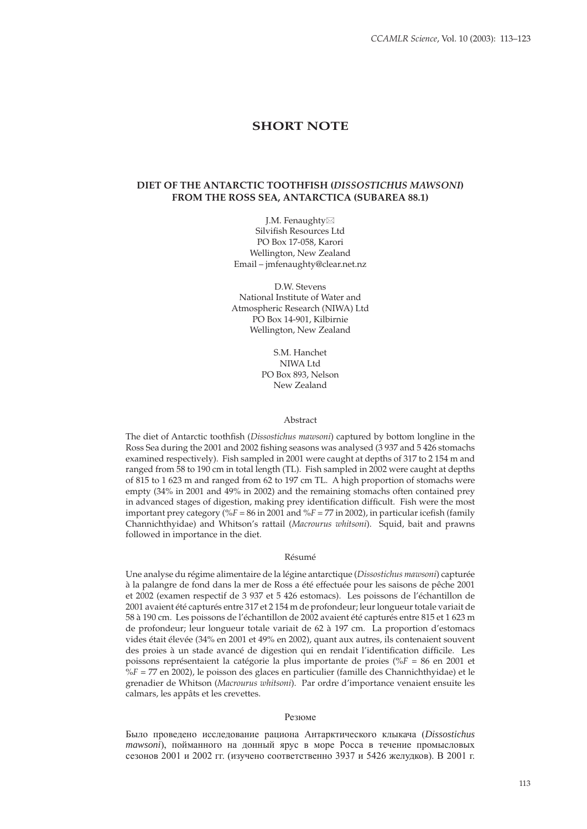# **SHORT NOTE**

## **DIET OF THE ANTARCTIC TOOTHFISH (***DISSOSTICHUS MAWSONI***) FROM THE ROSS SEA, ANTARCTICA (SUBAREA 88.1)**

J.M. Fenaughty Silvifish Resources Ltd PO Box 17-058, Karori Wellington, New Zealand Email – jmfenaughty@clear.net.nz

D.W. Stevens National Institute of Water and Atmospheric Research (NIWA) Ltd PO Box 14-901, Kilbirnie Wellington, New Zealand

> S.M. Hanchet NIJMA Ltd PO Box 893, Nelson New Zealand

#### Abstract

The diet of Antarctic toothfish (*Dissostichus mawsoni*) captured by bottom longline in the Ross Sea during the 2001 and 2002 fishing seasons was analysed (3937 and 5426 stomachs examined respectively). Fish sampled in 2001 were caught at depths of 317 to 2 154 m and ranged from 58 to 190 cm in total length (TL). Fish sampled in 2002 were caught at depths of 815 to 1 623 m and ranged from 62 to 197 cm TL. A high proportion of stomachs were empty (34% in 2001 and 49% in 2002) and the remaining stomachs often contained prey in advanced stages of digestion, making prey identification difficult. Fish were the most important prey category  $($ %F = 86 in 2001 and %F = 77 in 2002), in particular icefish (family Channichthyidae) and Whitson's rattail (*Macrourus whitsoni*). Squid, bait and prawns followed in importance in the diet.

### Résumé

Une analyse du régime alimentaire de la légine antarctique (*Dissostichus mawsoni*) capturée à la palangre de fond dans la mer de Ross a été effectuée pour les saisons de pêche 2001 et 2002 (examen respectif de 3 937 et 5 426 estomacs). Les poissons de l'échantillon de 2001 avaient été capturés entre 317 et 2 154 m de profondeur; leur longueur totale variait de 58 à 190 cm. Les poissons de l'échantillon de 2002 avaient été capturés entre 815 et 1 623 m de profondeur; leur longueur totale variait de 62 à 197 cm. La proportion d'estomacs vides était élevée (34% en 2001 et 49% en 2002), quant aux autres, ils contenaient souvent des proies à un stade avancé de digestion qui en rendait l'identification difficile. Les poissons représentaient la catégorie la plus importante de proies (%*F* = 86 en 2001 et %*F* = 77 en 2002), le poisson des glaces en particulier (famille des Channichthyidae) et le grenadier de Whitson (*Macrourus whitsoni*). Par ordre d'importance venaient ensuite les calmars, les appâts et les crevettes.

#### Резюме

Было проведено исследование рациона Антарктического клыкача (*Dissostichus mawsoni*), пойманного на донный ярус в море Росса в течение промысловых сезонов 2001 и 2002 гг. (изучено соответственно 3937 и 5426 желудков). В 2001 г.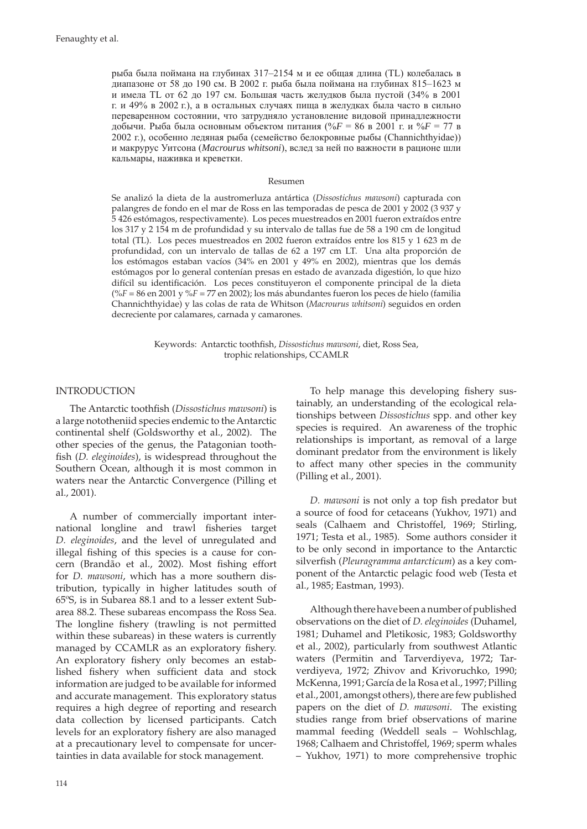рыба была поймана на глубинах 317–2154 м и ее общая длина (TL) колебалась в диапазоне от 58 до 190 см. В 2002 г. рыба была поймана на глубинах 815–1623 м и имела TL от 62 до 197 см. Большая часть желудков была пустой (34% в 2001 г. и 49% в 2002 г.), а в остальных случаях пища в желудках была часто в сильно переваренном состоянии, что затрудняло установление видовой принадлежности добычи. Рыба была основным объектом питания (%*F* = 86 в 2001 г. и %*F* = 77 в 2002 г.), особенно ледяная рыба (семейство белокровные рыбы (Channichthyidae)) и макрурус Уитсона (*Macrourus whitsoni*), вслед за ней по важности в рационе шли кальмары, наживка и креветки.

#### Resumen

Se analizó la dieta de la austromerluza antártica (*Dissostichus mawsoni*) capturada con palangres de fondo en el mar de Ross en las temporadas de pesca de 2001 y 2002 (3 937 y 5 426 estómagos, respectivamente). Los peces muestreados en 2001 fueron extraídos entre los 317 y 2 154 m de profundidad y su intervalo de tallas fue de 58 a 190 cm de longitud total (TL). Los peces muestreados en 2002 fueron extraídos entre los 815 y 1 623 m de profundidad, con un intervalo de tallas de 62 a 197 cm LT. Una alta proporción de los estómagos estaban vacíos (34% en 2001 y 49% en 2002), mientras que los demás estómagos por lo general contenían presas en estado de avanzada digestión, lo que hizo difícil su identificación. Los peces constituyeron el componente principal de la dieta (%*F* = 86 en 2001 y %*F* = 77 en 2002); los más abundantes fueron los peces de hielo (familia Channichthyidae) y las colas de rata de Whitson (*Macrourus whitsoni*) seguidos en orden decreciente por calamares, carnada y camarones.

> Keywords: Antarctic toothfish, *Dissostichus mawsoni*, diet, Ross Sea, trophic relationships, CCAMLR

### INTRODUCTION

The Antarctic toothfish (*Dissostichus mawsoni*) is a large nototheniid species endemic to the Antarctic continental shelf (Goldsworthy et al., 2002). The other species of the genus, the Patagonian toothfish (*D. eleginoides*), is widespread throughout the Southern Ocean, although it is most common in waters near the Antarctic Convergence (Pilling et al., 2001).

A number of commercially important international longline and trawl fisheries target D. eleginoides, and the level of unregulated and illegal fishing of this species is a cause for concern (Brandão et al., 2002). Most fishing effort for *D. mawsoni*, which has a more southern distribution, typically in higher latitudes south of 65ºS, is in Subarea 88.1 and to a lesser extent Subarea 88.2. These subareas encompass the Ross Sea. The longline fishery (trawling is not permitted within these subareas) in these waters is currently managed by CCAMLR as an exploratory fishery. An exploratory fishery only becomes an established fishery when sufficient data and stock information are judged to be available for informed and accurate management. This exploratory status requires a high degree of reporting and research data collection by licensed participants. Catch levels for an exploratory fishery are also managed at a precautionary level to compensate for uncertainties in data available for stock management.

To help manage this developing fishery sustainably, an understanding of the ecological relationships between *Dissostichus* spp. and other key species is required. An awareness of the trophic relationships is important, as removal of a large dominant predator from the environment is likely to affect many other species in the community (Pilling et al., 2001).

*D. mawsoni* is not only a top fish predator but a source of food for cetaceans (Yukhov, 1971) and seals (Calhaem and Christoffel, 1969; Stirling, 1971; Testa et al., 1985). Some authors consider it to be only second in importance to the Antarctic silverfish (*Pleuragramma antarcticum*) as a key component of the Antarctic pelagic food web (Testa et al., 1985; Eastman, 1993).

Although there have been a number of published observations on the diet of *D. eleginoides* (Duhamel, 1981; Duhamel and Pletikosic, 1983; Goldsworthy et al., 2002), particularly from southwest Atlantic waters (Permitin and Tarverdiyeva, 1972; Tarverdiyeva, 1972; Zhivov and Krivoruchko, 1990; McKenna, 1991; García de la Rosa et al., 1997; Pilling et al., 2001, amongst others), there are few published papers on the diet of *D. mawsoni*. The existing studies range from brief observations of marine mammal feeding (Weddell seals – Wohlschlag, 1968; Calhaem and Christoffel, 1969; sperm whales – Yukhov, 1971) to more comprehensive trophic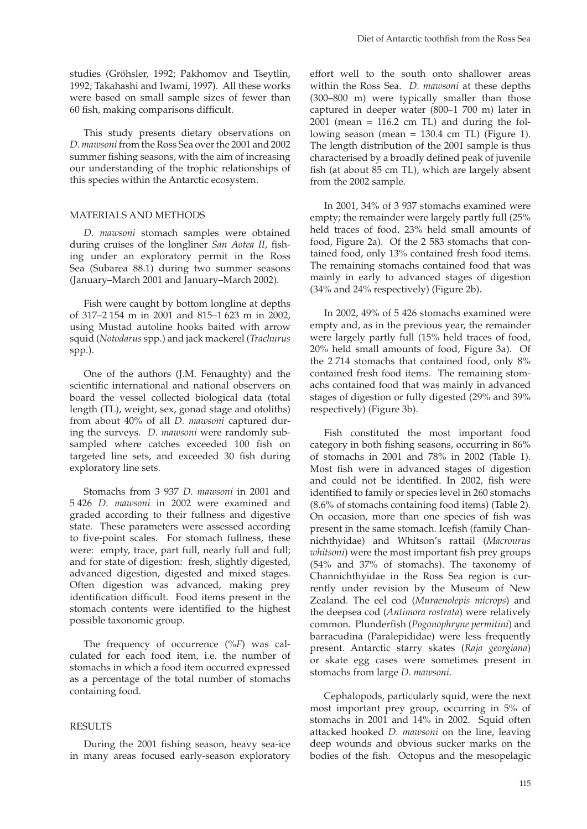studies (Gröhsler, 1992; Pakhomov and Tseytlin, 1992; Takahashi and Iwami, 1997). All these works were based on small sample sizes of fewer than 60 fish, making comparisons difficult.

This study presents dietary observations on *D. mawsoni* from the Ross Sea over the 2001 and 2002 summer fishing seasons, with the aim of increasing our understanding of the trophic relationships of this species within the Antarctic ecosystem.

### MATERIALS AND METHODS

*D. mawsoni* stomach samples were obtained during cruises of the longliner *San Aotea II*, fishing under an exploratory permit in the Ross Sea (Subarea 88.1) during two summer seasons (January–March 2001 and January–March 2002).

Fish were caught by bottom longline at depths of 317–2 154 m in 2001 and 815–1 623 m in 2002, using Mustad autoline hooks baited with arrow squid (*Notodarus* spp.) and jack mackerel (*Trachurus*  spp.).

One of the authors (J.M. Fenaughty) and the scientific international and national observers on board the vessel collected biological data (total length (TL), weight, sex, gonad stage and otoliths) from about 40% of all *D. mawsoni* captured during the surveys. *D. mawsoni* were randomly subsampled where catches exceeded 100 fish on targeted line sets, and exceeded 30 fish during exploratory line sets.

Stomachs from 3 937 *D. mawsoni* in 2001 and 5 426 *D. mawsoni* in 2002 were examined and graded according to their fullness and digestive state. These parameters were assessed according to five-point scales. For stomach fullness, these were: empty, trace, part full, nearly full and full; and for state of digestion: fresh, slightly digested, advanced digestion, digested and mixed stages. Often digestion was advanced, making prey identification difficult. Food items present in the stomach contents were identified to the highest possible taxonomic group.

The frequency of occurrence (%*F*) was calculated for each food item, i.e. the number of stomachs in which a food item occurred expressed as a percentage of the total number of stomachs containing food.

### RESULTS

During the 2001 fishing season, heavy sea-ice in many areas focused early-season exploratory effort well to the south onto shallower areas within the Ross Sea. *D. mawsoni* at these depths (300–800 m) were typically smaller than those captured in deeper water (800–1 700 m) later in  $2001$  (mean = 116.2 cm TL) and during the following season (mean = 130.4 cm TL) (Figure 1). The length distribution of the 2001 sample is thus characterised by a broadly defined peak of juvenile fish (at about 85 cm TL), which are largely absent from the 2002 sample.

In 2001, 34% of 3 937 stomachs examined were empty; the remainder were largely partly full (25% held traces of food, 23% held small amounts of food, Figure 2a). Of the 2 583 stomachs that contained food, only 13% contained fresh food items. The remaining stomachs contained food that was mainly in early to advanced stages of digestion (34% and 24% respectively) (Figure 2b).

In 2002, 49% of 5 426 stomachs examined were empty and, as in the previous year, the remainder were largely partly full (15% held traces of food, 20% held small amounts of food, Figure 3a). Of the 2 714 stomachs that contained food, only 8% contained fresh food items. The remaining stomachs contained food that was mainly in advanced stages of digestion or fully digested (29% and 39% respectively) (Figure 3b).

Fish constituted the most important food category in both fishing seasons, occurring in 86% of stomachs in 2001 and 78% in 2002 (Table 1). Most fish were in advanced stages of digestion and could not be identified. In 2002, fish were identified to family or species level in 260 stomachs (8.6% of stomachs containing food items) (Table 2). On occasion, more than one species of fish was present in the same stomach. Icefish (family Channichthyidae) and Whitson's rattail (*Macrourus whitsoni*) were the most important fish prey groups (54% and 37% of stomachs). The taxonomy of Channichthyidae in the Ross Sea region is currently under revision by the Museum of New Zealand. The eel cod (*Muraenolepis microps*) and the deepsea cod (*Antimora rostrata*) were relatively common. Plunderfish (*Pogonophryne permitini*) and barracudina (Paralepididae) were less frequently present. Antarctic starry skates (*Raja georgiana*) or skate egg cases were sometimes present in stomachs from large *D. mawsoni*.

Cephalopods, particularly squid, were the next most important prey group, occurring in 5% of stomachs in 2001 and 14% in 2002. Squid often attacked hooked *D. mawsoni* on the line, leaving deep wounds and obvious sucker marks on the bodies of the fish. Octopus and the mesopelagic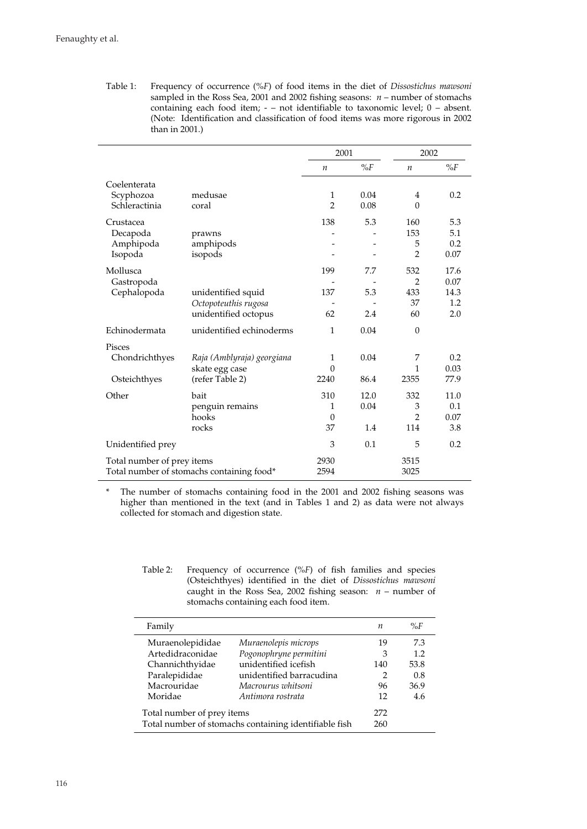Table 1: Frequency of occurrence (%*F*) of food items in the diet of *Dissostichus mawsoni* sampled in the Ross Sea, 2001 and 2002 fishing seasons: *n* – number of stomachs containing each food item; - – not identifiable to taxonomic level; 0 – absent. (Note: Identification and classification of food items was more rigorous in 2002 than in 2001.)

|                                                                         |                                                                    | 2001                       |                     | 2002                                     |                                    |
|-------------------------------------------------------------------------|--------------------------------------------------------------------|----------------------------|---------------------|------------------------------------------|------------------------------------|
|                                                                         |                                                                    | $\boldsymbol{n}$           | $\%F$               | $\boldsymbol{n}$                         | $\%F$                              |
| Coelenterata<br>Scyphozoa<br>Schleractinia                              | medusae<br>coral                                                   | 1<br>$\overline{2}$        | 0.04<br>0.08        | 4<br>$\mathbf{0}$                        | 0.2                                |
| Crustacea<br>Decapoda<br>Amphipoda<br>Isopoda                           | prawns<br>amphipods<br>isopods                                     | 138                        | 5.3                 | 160<br>153<br>5<br>$\overline{2}$        | 5.3<br>5.1<br>0.2<br>0.07          |
| Mollusca<br>Gastropoda<br>Cephalopoda                                   | unidentified squid<br>Octopoteuthis rugosa<br>unidentified octopus | 199<br>137<br>62           | 7.7<br>5.3<br>2.4   | 532<br>$\overline{2}$<br>433<br>37<br>60 | 17.6<br>0.07<br>14.3<br>1.2<br>2.0 |
| Echinodermata                                                           | unidentified echinoderms                                           | 1                          | 0.04                | $\theta$                                 |                                    |
| <b>Pisces</b><br>Chondrichthyes<br>Osteichthyes                         | Raja (Amblyraja) georgiana<br>skate egg case<br>(refer Table 2)    | 1<br>$\theta$<br>2240      | 0.04<br>86.4        | 7<br>1<br>2355                           | 0.2<br>0.03<br>77.9                |
| Other                                                                   | bait<br>penguin remains<br>hooks<br>rocks                          | 310<br>1<br>$\theta$<br>37 | 12.0<br>0.04<br>1.4 | 332<br>3<br>$\overline{2}$<br>114        | 11.0<br>0.1<br>0.07<br>3.8         |
| Unidentified prey                                                       |                                                                    | 3                          | 0.1                 | 5                                        | 0.2                                |
| Total number of prey items<br>Total number of stomachs containing food* |                                                                    | 2930<br>2594               |                     | 3515<br>3025                             |                                    |

\* The number of stomachs containing food in the 2001 and 2002 fishing seasons was higher than mentioned in the text (and in Tables 1 and 2) as data were not always collected for stomach and digestion state.

| Table 2: | Frequency of occurrence $(\%F)$ of fish families and species  |
|----------|---------------------------------------------------------------|
|          | (Osteichthyes) identified in the diet of Dissostichus mawsoni |
|          | caught in the Ross Sea, 2002 fishing season: $n -$ number of  |
|          | stomachs containing each food item.                           |

| Family                                                                              |                          | п          | $\%F$ |
|-------------------------------------------------------------------------------------|--------------------------|------------|-------|
| Muraenolepididae                                                                    | Muraenolepis microps     | 19         | 7.3   |
| Artedidraconidae                                                                    | Pogonophryne permitini   | 3          | 1.2   |
| Channichthyidae                                                                     | unidentified icefish     | 140        | 53.8  |
| Paralepididae                                                                       | unidentified barracudina | 2          | 0.8   |
| Macrouridae                                                                         | Macrourus whitsoni       | 96         | 36.9  |
| Moridae                                                                             | Antimora rostrata        | 12         | 4.6   |
| Total number of prey items<br>Total number of stomachs containing identifiable fish |                          | 272<br>260 |       |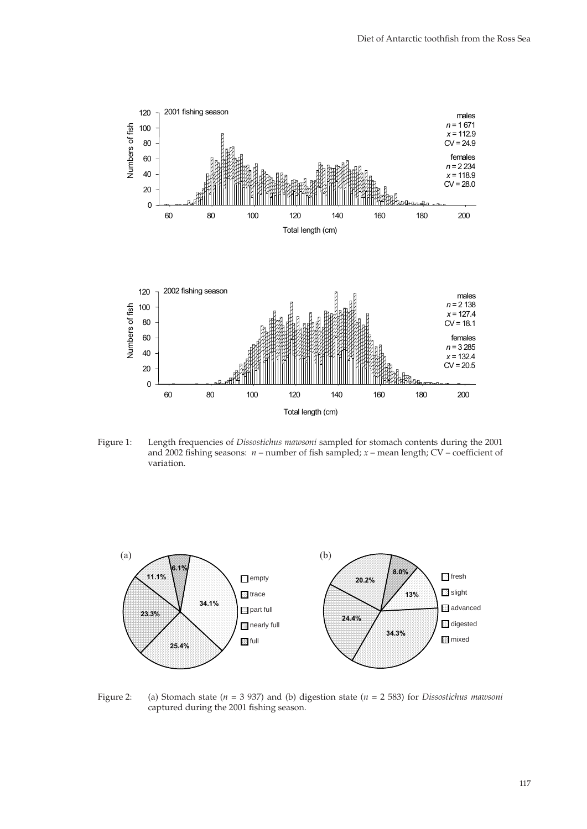

Figure 1: Length frequencies of *Dissostichus mawsoni* sampled for stomach contents during the 2001 and 2002 fishing seasons:  $n$  – number of fish sampled;  $x$  – mean length; CV – coefficient of variation.



Figure 2: (a) Stomach state (*n* = 3 937) and (b) digestion state (*n* = 2 583) for *Dissostichus mawsoni* captured during the 2001 fishing season.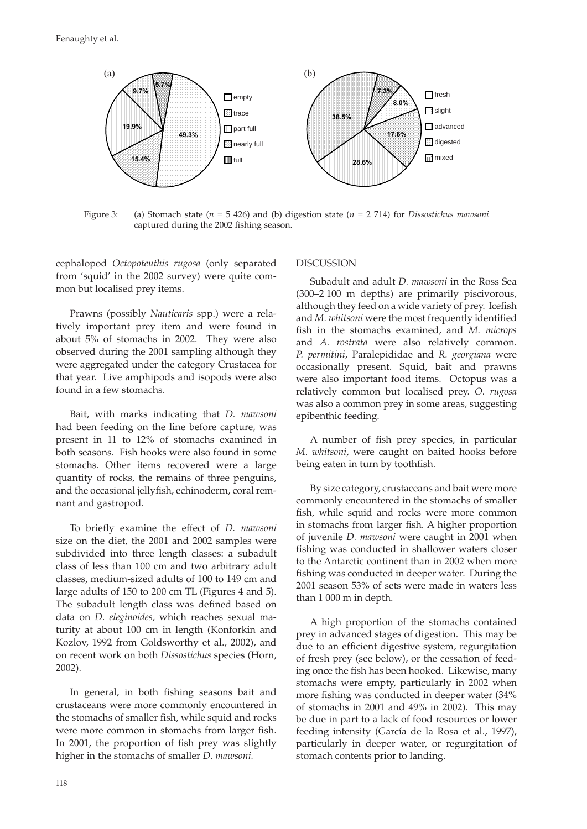

Figure 3: (a) Stomach state (*n* = 5 426) and (b) digestion state (*n* = 2 714) for *Dissostichus mawsoni* captured during the 2002 fishing season.

cephalopod *Octopoteuthis rugosa* (only separated from 'squid' in the 2002 survey) were quite common but localised prey items.

Prawns (possibly *Nauticaris* spp.) were a relatively important prey item and were found in about 5% of stomachs in 2002. They were also observed during the 2001 sampling although they were aggregated under the category Crustacea for that year. Live amphipods and isopods were also found in a few stomachs.

Bait, with marks indicating that *D. mawsoni* had been feeding on the line before capture, was present in 11 to 12% of stomachs examined in both seasons. Fish hooks were also found in some stomachs. Other items recovered were a large quantity of rocks, the remains of three penguins, and the occasional jellyfish, echinoderm, coral remnant and gastropod.

To briefly examine the effect of *D. mawsoni* size on the diet, the 2001 and 2002 samples were subdivided into three length classes: a subadult class of less than 100 cm and two arbitrary adult classes, medium-sized adults of 100 to 149 cm and large adults of 150 to 200 cm TL (Figures 4 and 5). The subadult length class was defined based on data on *D. eleginoides,* which reaches sexual maturity at about 100 cm in length (Konforkin and Kozlov, 1992 from Goldsworthy et al., 2002), and on recent work on both *Dissostichus* species (Horn, 2002).

In general, in both fishing seasons bait and crustaceans were more commonly encountered in the stomachs of smaller fish, while squid and rocks were more common in stomachs from larger fish. In 2001, the proportion of fish prey was slightly higher in the stomachs of smaller *D. mawsoni.*

### DISCUSSION

Subadult and adult *D. mawsoni* in the Ross Sea (300–2 100 m depths) are primarily piscivorous, although they feed on a wide variety of prey. Icefish and *M. whitsoni* were the most frequently identified fish in the stomachs examined, and *M. microps* and *A. rostrata* were also relatively common. *P. permitini*, Paralepididae and *R. georgiana* were occasionally present. Squid, bait and prawns were also important food items. Octopus was a relatively common but localised prey. *O. rugosa*  was also a common prey in some areas, suggesting epibenthic feeding.

A number of fish prey species, in particular *M. whitsoni*, were caught on baited hooks before being eaten in turn by toothfish.

By size category, crustaceans and bait were more commonly encountered in the stomachs of smaller fish, while squid and rocks were more common in stomachs from larger fish. A higher proportion of juvenile *D. mawsoni* were caught in 2001 when fishing was conducted in shallower waters closer to the Antarctic continent than in 2002 when more fishing was conducted in deeper water. During the 2001 season 53% of sets were made in waters less than 1 000 m in depth.

A high proportion of the stomachs contained prey in advanced stages of digestion. This may be due to an efficient digestive system, regurgitation of fresh prey (see below), or the cessation of feeding once the fish has been hooked. Likewise, many stomachs were empty, particularly in 2002 when more fishing was conducted in deeper water (34%) of stomachs in 2001 and 49% in 2002). This may be due in part to a lack of food resources or lower feeding intensity (García de la Rosa et al., 1997), particularly in deeper water, or regurgitation of stomach contents prior to landing.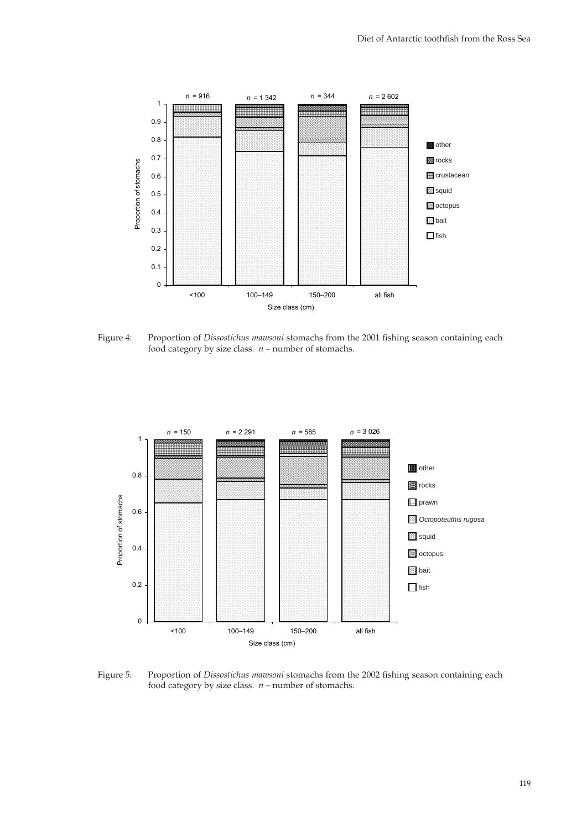

Figure 4: Proportion of *Dissostichus mawsoni* stomachs from the 2001 fishing season containing each food category by size class. *n* – number of stomachs.



Figure 5: Proportion of *Dissostichus mawsoni* stomachs from the 2002 fishing season containing each food category by size class. *n* – number of stomachs.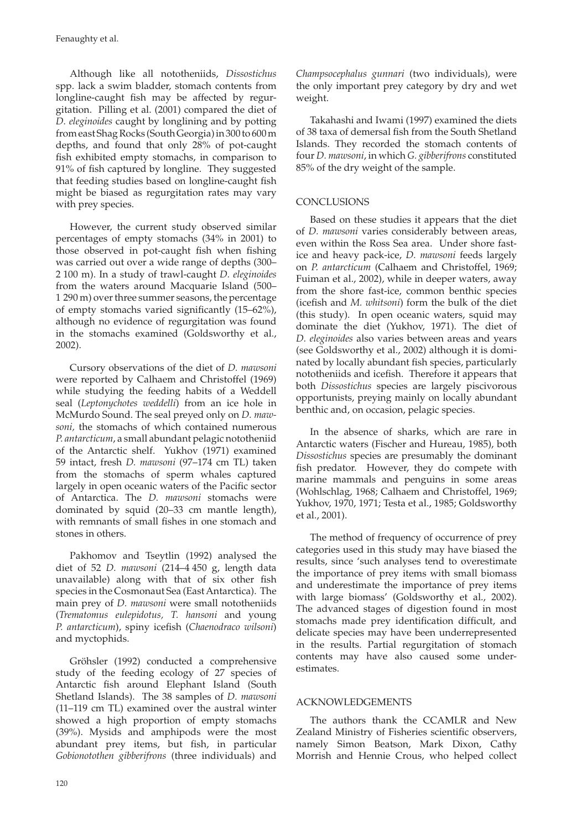Although like all nototheniids, *Dissostichus* spp. lack a swim bladder, stomach contents from longline-caught fish may be affected by regurgitation. Pilling et al. (2001) compared the diet of *D. eleginoides* caught by longlining and by potting from east Shag Rocks (South Georgia) in 300 to 600 m depths, and found that only 28% of pot-caught fish exhibited empty stomachs, in comparison to  $91\%$  of fish captured by longline. They suggested that feeding studies based on longline-caught fish might be biased as regurgitation rates may vary with prey species.

However, the current study observed similar percentages of empty stomachs (34% in 2001) to those observed in pot-caught fish when fishing was carried out over a wide range of depths (300– 2 100 m). In a study of trawl-caught *D. eleginoides*  from the waters around Macquarie Island (500– 1 290 m) over three summer seasons, the percentage of empty stomachs varied significantly  $(15-62\%)$ , although no evidence of regurgitation was found in the stomachs examined (Goldsworthy et al., 2002).

Cursory observations of the diet of *D. mawsoni*  were reported by Calhaem and Christoffel (1969) while studying the feeding habits of a Weddell seal (*Leptonychotes weddelli*) from an ice hole in McMurdo Sound. The seal preyed only on *D. mawsoni,* the stomachs of which contained numerous *P. antarcticum*, a small abundant pelagic nototheniid of the Antarctic shelf. Yukhov (1971) examined 59 intact, fresh *D. mawsoni* (97–174 cm TL) taken from the stomachs of sperm whales captured largely in open oceanic waters of the Pacific sector of Antarctica. The *D. mawsoni* stomachs were dominated by squid (20–33 cm mantle length), with remnants of small fishes in one stomach and stones in others.

Pakhomov and Tseytlin (1992) analysed the diet of 52 *D. mawsoni* (214–4 450 g, length data unavailable) along with that of six other fish species in the Cosmonaut Sea (East Antarctica). The main prey of *D. mawsoni* were small nototheniids (*Trematomus eulepidotus, T. hansoni* and young *P. antarcticum*), spiny icefish (*Chaenodraco wilsoni*) and myctophids.

Gröhsler (1992) conducted a comprehensive study of the feeding ecology of 27 species of Antarctic fish around Elephant Island (South Shetland Islands). The 38 samples of *D. mawsoni* (11–119 cm TL) examined over the austral winter showed a high proportion of empty stomachs (39%). Mysids and amphipods were the most abundant prey items, but fish, in particular *Gobionotothen gibberifrons* (three individuals) and *Champsocephalus gunnari* (two individuals), were the only important prey category by dry and wet weight.

Takahashi and Iwami (1997) examined the diets of 38 taxa of demersal fish from the South Shetland Islands. They recorded the stomach contents of four *D. mawsoni*, in which *G. gibberifrons* constituted 85% of the dry weight of the sample.

## **CONCLUSIONS**

Based on these studies it appears that the diet of *D. mawsoni* varies considerably between areas, even within the Ross Sea area. Under shore fastice and heavy pack-ice, *D. mawsoni* feeds largely on *P. antarcticum* (Calhaem and Christoffel, 1969; Fuiman et al., 2002), while in deeper waters, away from the shore fast-ice, common benthic species (icefish and *M. whitsoni*) form the bulk of the diet (this study). In open oceanic waters, squid may dominate the diet (Yukhov, 1971). The diet of *D. eleginoides* also varies between areas and years (see Goldsworthy et al., 2002) although it is dominated by locally abundant fish species, particularly nototheniids and icefish. Therefore it appears that both *Dissostichus* species are largely piscivorous opportunists, preying mainly on locally abundant benthic and, on occasion, pelagic species.

In the absence of sharks, which are rare in Antarctic waters (Fischer and Hureau, 1985), both *Dissostichus* species are presumably the dominant fish predator. However, they do compete with marine mammals and penguins in some areas (Wohlschlag, 1968; Calhaem and Christoffel, 1969; Yukhov, 1970, 1971; Testa et al., 1985; Goldsworthy et al., 2001).

The method of frequency of occurrence of prey categories used in this study may have biased the results, since 'such analyses tend to overestimate the importance of prey items with small biomass and underestimate the importance of prey items with large biomass' (Goldsworthy et al., 2002). The advanced stages of digestion found in most stomachs made prey identification difficult, and delicate species may have been underrepresented in the results. Partial regurgitation of stomach contents may have also caused some underestimates.

## ACKNOWLEDGEMENTS

The authors thank the CCAMLR and New Zealand Ministry of Fisheries scientific observers, namely Simon Beatson, Mark Dixon, Cathy Morrish and Hennie Crous, who helped collect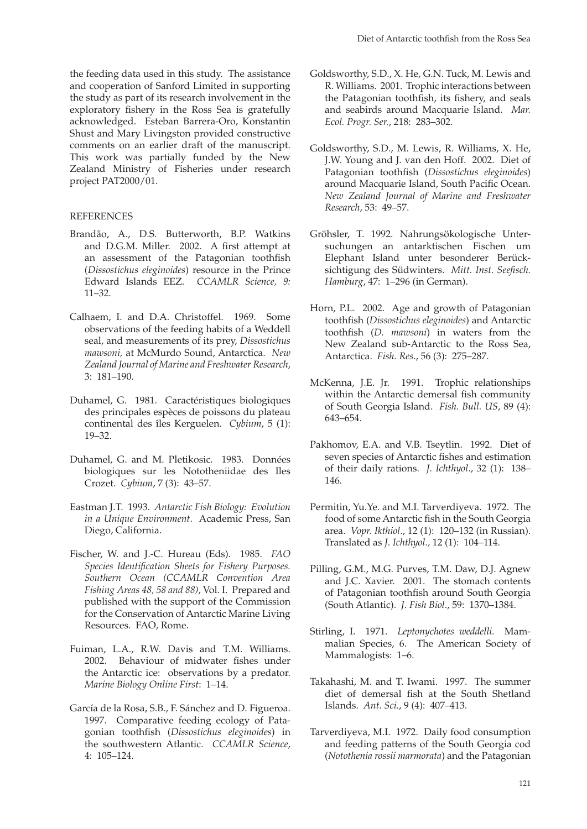the feeding data used in this study. The assistance and cooperation of Sanford Limited in supporting the study as part of its research involvement in the exploratory fishery in the Ross Sea is gratefully acknowledged. Esteban Barrera-Oro, Konstantin Shust and Mary Livingston provided constructive comments on an earlier draft of the manuscript. This work was partially funded by the New Zealand Ministry of Fisheries under research project PAT2000/01.

## REFERENCES

- Brandão, A., D.S. Butterworth, B.P. Watkins and D.G.M. Miller. 2002. A first attempt at an assessment of the Patagonian toothfish (*Dissostichus eleginoides*) resource in the Prince Edward Islands EEZ. *CCAMLR Science, 9:*  11–32.
- Calhaem, I. and D.A. Christoffel. 1969. Some observations of the feeding habits of a Weddell seal, and measurements of its prey, *Dissostichus mawsoni,* at McMurdo Sound, Antarctica. *New Zealand Journal of Marine and Freshwater Research*, 3: 181–190.
- Duhamel, G. 1981. Caractéristiques biologiques des principales espèces de poissons du plateau continental des îles Kerguelen. *Cybium*, 5 (1): 19–32.
- Duhamel, G. and M. Pletikosic. 1983. Données biologiques sur les Nototheniidae des Iles Crozet. *Cybium*, 7 (3): 43–57.
- Eastman J.T. 1993. *Antarctic Fish Biology: Evolution in a Unique Environment*. Academic Press, San Diego, California.
- Fischer, W. and J.-C. Hureau (Eds). 1985. *FAO Species Identification Sheets for Fishery Purposes. Southern Ocean (CCAMLR Convention Area Fishing Areas 48, 58 and 88)*, Vol. I. Prepared and published with the support of the Commission for the Conservation of Antarctic Marine Living Resources. FAO, Rome.
- Fuiman, L.A., R.W. Davis and T.M. Williams. 2002. Behaviour of midwater fishes under the Antarctic ice: observations by a predator. *Marine Biology Online First*: 1–14.
- García de la Rosa, S.B., F. Sánchez and D. Figueroa. 1997. Comparative feeding ecology of Patagonian toothfish (*Dissostichus eleginoides*) in the southwestern Atlantic. *CCAMLR Science*, 4: 105–124.
- Goldsworthy, S.D., X. He, G.N. Tuck, M. Lewis and R. Williams. 2001. Trophic interactions between the Patagonian toothfish, its fishery, and seals and seabirds around Macquarie Island. *Mar. Ecol. Progr. Ser.*, 218: 283–302.
- Goldsworthy, S.D., M. Lewis, R. Williams, X. He, J.W. Young and J. van den Hoff. 2002. Diet of Patagonian toothfish (*Dissostichus eleginoides*) around Macquarie Island, South Pacific Ocean. *New Zealand Journal of Marine and Freshwater Research*, 53: 49–57.
- Gröhsler, T. 1992. Nahrungsökologische Untersuchungen an antarktischen Fischen um Elephant Island unter besonderer Berücksichtigung des Südwinters. Mitt. Inst. Seefisch. *Hamburg*, 47: 1–296 (in German).
- Horn, P.L. 2002. Age and growth of Patagonian toothfi sh (*Dissostichus eleginoides*) and Antarctic toothfish (*D. mawsoni*) in waters from the New Zealand sub-Antarctic to the Ross Sea, Antarctica. *Fish. Res*., 56 (3): 275–287.
- McKenna, J.E. Jr. 1991. Trophic relationships within the Antarctic demersal fish community of South Georgia Island. *Fish. Bull. US*, 89 (4): 643–654.
- Pakhomov, E.A. and V.B. Tseytlin. 1992. Diet of seven species of Antarctic fishes and estimation of their daily rations. *J. Ichthyol*., 32 (1): 138– 146.
- Permitin, Yu.Ye. and M.I. Tarverdiyeva. 1972. The food of some Antarctic fish in the South Georgia area. *Vopr. Ikthiol*., 12 (1): 120–132 (in Russian). Translated as *J. Ichthyol.,* 12 (1): 104–114.
- Pilling, G.M., M.G. Purves, T.M. Daw, D.J. Agnew and J.C. Xavier. 2001. The stomach contents of Patagonian toothfish around South Georgia (South Atlantic). *J. Fish Biol*., 59: 1370–1384.
- Stirling, I. 1971. *Leptonychotes weddelli.* Mammalian Species, 6. The American Society of Mammalogists: 1–6.
- Takahashi, M. and T. Iwami. 1997. The summer diet of demersal fish at the South Shetland Islands. *Ant. Sci*., 9 (4): 407–413.
- Tarverdiyeva, M.I. 1972. Daily food consumption and feeding patterns of the South Georgia cod (*Notothenia rossii marmorata*) and the Patagonian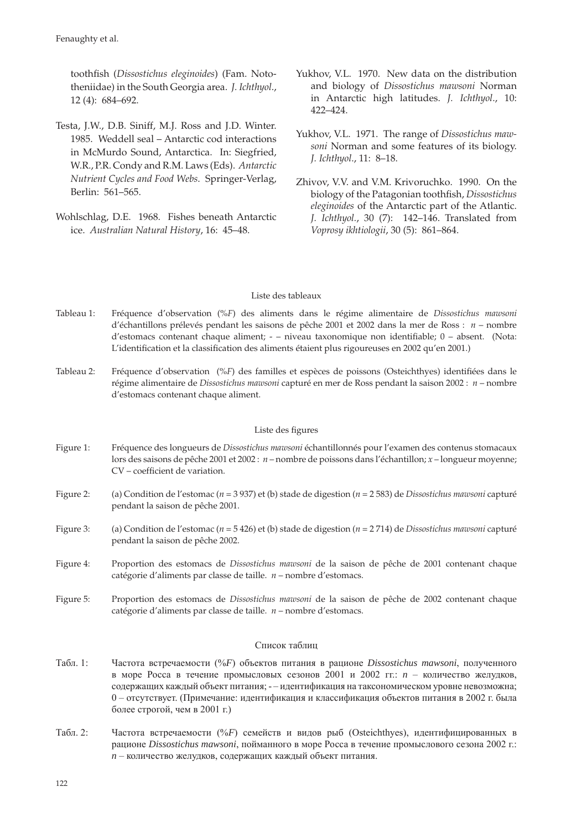toothfish (Dissostichus eleginoides) (Fam. Nototheniidae) in the South Georgia area. *J. Ichthyol*., 12 (4): 684–692.

- Testa, J.W., D.B. Siniff, M.J. Ross and J.D. Winter. 1985. Weddell seal – Antarctic cod interactions in McMurdo Sound, Antarctica. In: Siegfried, W.R., P.R. Condy and R.M. Laws (Eds). *Antarctic Nutrient Cycles and Food Webs*. Springer-Verlag, Berlin: 561–565.
- Wohlschlag, D.E. 1968. Fishes beneath Antarctic ice. *Australian Natural History*, 16: 45–48.
- Yukhov, V.L. 1970. New data on the distribution and biology of *Dissostichus mawsoni* Norman in Antarctic high latitudes. *J. Ichthyol*., 10: 422–424.
- Yukhov, V.L. 1971. The range of *Dissostichus mawsoni* Norman and some features of its biology. *J. Ichthyol*., 11: 8–18.
- Zhivov, V.V. and V.M. Krivoruchko. 1990. On the biology of the Patagonian toothfish, *Dissostichus eleginoides* of the Antarctic part of the Atlantic. *J. Ichthyol.*, 30 (7): 142–146. Translated from *Voprosy ikhtiologii*, 30 (5): 861–864.

## Liste des tableaux

- Tableau 1: Fréquence d'observation (%*F*) des aliments dans le régime alimentaire de *Dissostichus mawsoni* d'échantillons prélevés pendant les saisons de pêche 2001 et 2002 dans la mer de Ross : *n* – nombre d'estomacs contenant chaque aliment; - – niveau taxonomique non identifiable; 0 – absent. (Nota: L'identification et la classification des aliments étaient plus rigoureuses en 2002 qu'en 2001.)
- Tableau 2: Fréquence d'observation (%F) des familles et espèces de poissons (Osteichthyes) identifiées dans le régime alimentaire de *Dissostichus mawsoni* capturé en mer de Ross pendant la saison 2002 : *n* – nombre d'estomacs contenant chaque aliment.

## Liste des figures

- Figure 1: Fréquence des longueurs de *Dissostichus mawsoni* échantillonnés pour l'examen des contenus stomacaux lors des saisons de pêche 2001 et 2002 : *n* – nombre de poissons dans l'échantillon; *x* – longueur moyenne; CV – coefficient de variation.
- Figure 2: (a) Condition de l'estomac (*n* = 3 937) et (b) stade de digestion (*n* = 2 583) de *Dissostichus mawsoni* capturé pendant la saison de pêche 2001.
- Figure 3: (a) Condition de l'estomac (*n* = 5 426) et (b) stade de digestion (*n* = 2 714) de *Dissostichus mawsoni* capturé pendant la saison de pêche 2002.
- Figure 4: Proportion des estomacs de *Dissostichus mawsoni* de la saison de pêche de 2001 contenant chaque catégorie d'aliments par classe de taille. *n* – nombre d'estomacs.
- Figure 5: Proportion des estomacs de *Dissostichus mawsoni* de la saison de pêche de 2002 contenant chaque catégorie d'aliments par classe de taille. *n* – nombre d'estomacs.

### Список таблиц

- Табл. 1: Частота встречаемости (%*F*) объектов питания в рационе *Dissostichus mawsoni*, полученного в море Росса в течение промысловых сезонов 2001 и 2002 гг.: *n* – количество желудков, содержащих каждый объект питания; - – идентификация на таксономическом уровне невозможна; 0 – отсутствует. (Примечание: идентификация и классификация объектов питания в 2002 г. была более строгой, чем в 2001 г.)
- Табл. 2: Частота встречаемости (%*F*) семейств и видов рыб (Osteichthyes), идентифицированных в рационе *Dissostichus mawsoni*, пойманного в море Росса в течение промыслового сезона 2002 г.: *n* – количество желудков, содержащих каждый объект питания.